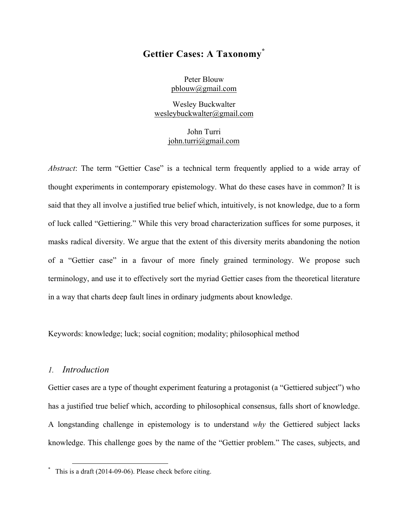# **Gettier Cases: A Taxonomy\***

Peter Blouw pblouw@gmail.com

Wesley Buckwalter wesleybuckwalter@gmail.com

# John Turri john.turri@gmail.com

*Abstract*: The term "Gettier Case" is a technical term frequently applied to a wide array of thought experiments in contemporary epistemology. What do these cases have in common? It is said that they all involve a justified true belief which, intuitively, is not knowledge, due to a form of luck called "Gettiering." While this very broad characterization suffices for some purposes, it masks radical diversity. We argue that the extent of this diversity merits abandoning the notion of a "Gettier case" in a favour of more finely grained terminology. We propose such terminology, and use it to effectively sort the myriad Gettier cases from the theoretical literature in a way that charts deep fault lines in ordinary judgments about knowledge.

Keywords: knowledge; luck; social cognition; modality; philosophical method

### *1. Introduction*

Gettier cases are a type of thought experiment featuring a protagonist (a "Gettiered subject") who has a justified true belief which, according to philosophical consensus, falls short of knowledge. A longstanding challenge in epistemology is to understand *why* the Gettiered subject lacks knowledge. This challenge goes by the name of the "Gettier problem." The cases, subjects, and

 $*$  This is a draft (2014-09-06). Please check before citing.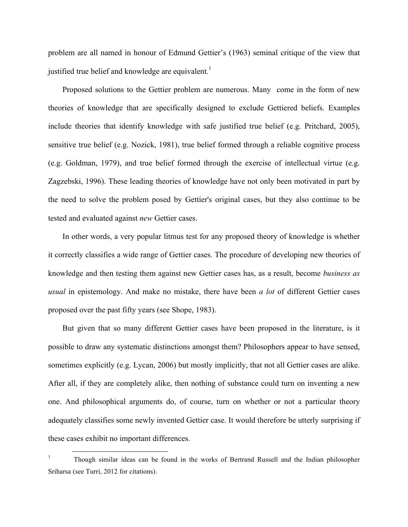problem are all named in honour of Edmund Gettier's (1963) seminal critique of the view that justified true belief and knowledge are equivalent.<sup>1</sup>

Proposed solutions to the Gettier problem are numerous. Many come in the form of new theories of knowledge that are specifically designed to exclude Gettiered beliefs. Examples include theories that identify knowledge with safe justified true belief (e.g. Pritchard, 2005), sensitive true belief (e.g. Nozick, 1981), true belief formed through a reliable cognitive process (e.g. Goldman, 1979), and true belief formed through the exercise of intellectual virtue (e.g. Zagzebski, 1996). These leading theories of knowledge have not only been motivated in part by the need to solve the problem posed by Gettier's original cases, but they also continue to be tested and evaluated against *new* Gettier cases.

In other words, a very popular litmus test for any proposed theory of knowledge is whether it correctly classifies a wide range of Gettier cases. The procedure of developing new theories of knowledge and then testing them against new Gettier cases has, as a result, become *business as usual* in epistemology. And make no mistake, there have been *a lot* of different Gettier cases proposed over the past fifty years (see Shope, 1983).

But given that so many different Gettier cases have been proposed in the literature, is it possible to draw any systematic distinctions amongst them? Philosophers appear to have sensed, sometimes explicitly (e.g. Lycan, 2006) but mostly implicitly, that not all Gettier cases are alike. After all, if they are completely alike, then nothing of substance could turn on inventing a new one. And philosophical arguments do, of course, turn on whether or not a particular theory adequately classifies some newly invented Gettier case. It would therefore be utterly surprising if these cases exhibit no important differences.

 <sup>1</sup> Though similar ideas can be found in the works of Bertrand Russell and the Indian philosopher Sriharsa (see Turri, 2012 for citations).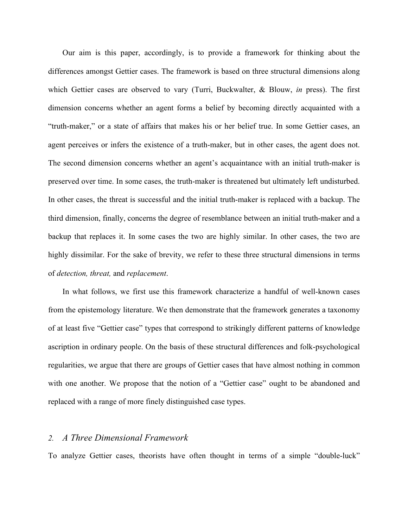Our aim is this paper, accordingly, is to provide a framework for thinking about the differences amongst Gettier cases. The framework is based on three structural dimensions along which Gettier cases are observed to vary (Turri, Buckwalter, & Blouw, *in* press). The first dimension concerns whether an agent forms a belief by becoming directly acquainted with a "truth-maker," or a state of affairs that makes his or her belief true. In some Gettier cases, an agent perceives or infers the existence of a truth-maker, but in other cases, the agent does not. The second dimension concerns whether an agent's acquaintance with an initial truth-maker is preserved over time. In some cases, the truth-maker is threatened but ultimately left undisturbed. In other cases, the threat is successful and the initial truth-maker is replaced with a backup. The third dimension, finally, concerns the degree of resemblance between an initial truth-maker and a backup that replaces it. In some cases the two are highly similar. In other cases, the two are highly dissimilar. For the sake of brevity, we refer to these three structural dimensions in terms of *detection, threat,* and *replacement*.

In what follows, we first use this framework characterize a handful of well-known cases from the epistemology literature. We then demonstrate that the framework generates a taxonomy of at least five "Gettier case" types that correspond to strikingly different patterns of knowledge ascription in ordinary people. On the basis of these structural differences and folk-psychological regularities, we argue that there are groups of Gettier cases that have almost nothing in common with one another. We propose that the notion of a "Gettier case" ought to be abandoned and replaced with a range of more finely distinguished case types.

#### *2. A Three Dimensional Framework*

To analyze Gettier cases, theorists have often thought in terms of a simple "double-luck"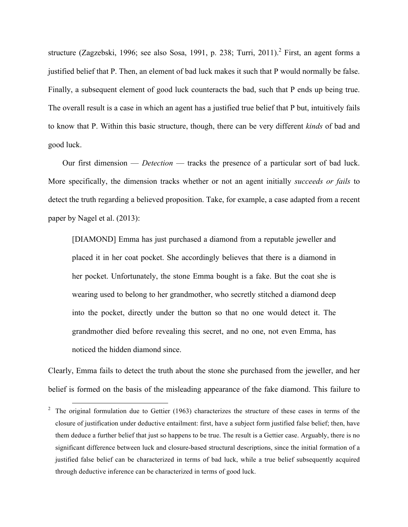structure (Zagzebski, 1996; see also Sosa, 1991, p. 238; Turri, 2011).<sup>2</sup> First, an agent forms a justified belief that P. Then, an element of bad luck makes it such that P would normally be false. Finally, a subsequent element of good luck counteracts the bad, such that P ends up being true. The overall result is a case in which an agent has a justified true belief that P but, intuitively fails to know that P. Within this basic structure, though, there can be very different *kinds* of bad and good luck.

Our first dimension — *Detection* — tracks the presence of a particular sort of bad luck. More specifically, the dimension tracks whether or not an agent initially *succeeds or fails* to detect the truth regarding a believed proposition. Take, for example, a case adapted from a recent paper by Nagel et al. (2013):

[DIAMOND] Emma has just purchased a diamond from a reputable jeweller and placed it in her coat pocket. She accordingly believes that there is a diamond in her pocket. Unfortunately, the stone Emma bought is a fake. But the coat she is wearing used to belong to her grandmother, who secretly stitched a diamond deep into the pocket, directly under the button so that no one would detect it. The grandmother died before revealing this secret, and no one, not even Emma, has noticed the hidden diamond since.

Clearly, Emma fails to detect the truth about the stone she purchased from the jeweller, and her belief is formed on the basis of the misleading appearance of the fake diamond. This failure to

<sup>&</sup>lt;sup>2</sup> The original formulation due to Gettier (1963) characterizes the structure of these cases in terms of the closure of justification under deductive entailment: first, have a subject form justified false belief; then, have them deduce a further belief that just so happens to be true. The result is a Gettier case. Arguably, there is no significant difference between luck and closure-based structural descriptions, since the initial formation of a justified false belief can be characterized in terms of bad luck, while a true belief subsequently acquired through deductive inference can be characterized in terms of good luck.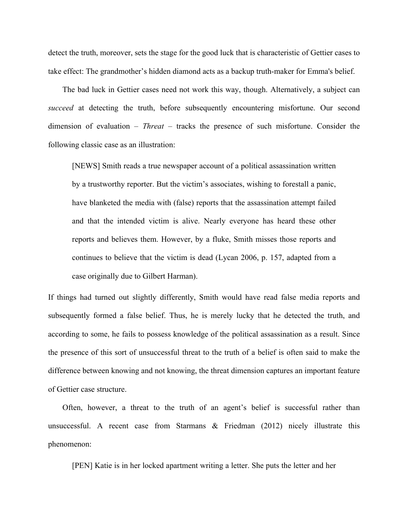detect the truth, moreover, sets the stage for the good luck that is characteristic of Gettier cases to take effect: The grandmother's hidden diamond acts as a backup truth-maker for Emma's belief.

The bad luck in Gettier cases need not work this way, though. Alternatively, a subject can *succeed* at detecting the truth, before subsequently encountering misfortune. Our second dimension of evaluation – *Threat –* tracks the presence of such misfortune. Consider the following classic case as an illustration:

[NEWS] Smith reads a true newspaper account of a political assassination written by a trustworthy reporter. But the victim's associates, wishing to forestall a panic, have blanketed the media with (false) reports that the assassination attempt failed and that the intended victim is alive. Nearly everyone has heard these other reports and believes them. However, by a fluke, Smith misses those reports and continues to believe that the victim is dead (Lycan 2006, p. 157, adapted from a case originally due to Gilbert Harman).

If things had turned out slightly differently, Smith would have read false media reports and subsequently formed a false belief. Thus, he is merely lucky that he detected the truth, and according to some, he fails to possess knowledge of the political assassination as a result. Since the presence of this sort of unsuccessful threat to the truth of a belief is often said to make the difference between knowing and not knowing, the threat dimension captures an important feature of Gettier case structure.

Often, however, a threat to the truth of an agent's belief is successful rather than unsuccessful. A recent case from Starmans & Friedman (2012) nicely illustrate this phenomenon:

[PEN] Katie is in her locked apartment writing a letter. She puts the letter and her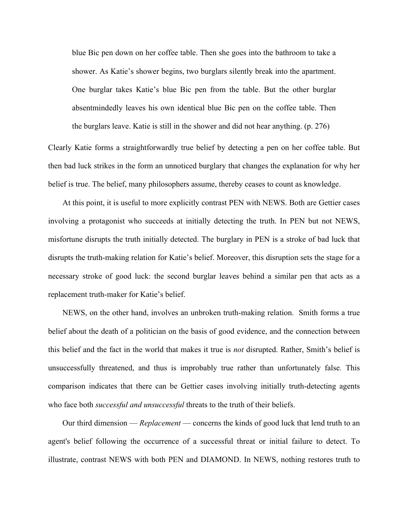blue Bic pen down on her coffee table. Then she goes into the bathroom to take a shower. As Katie's shower begins, two burglars silently break into the apartment. One burglar takes Katie's blue Bic pen from the table. But the other burglar absentmindedly leaves his own identical blue Bic pen on the coffee table. Then the burglars leave. Katie is still in the shower and did not hear anything. (p. 276)

Clearly Katie forms a straightforwardly true belief by detecting a pen on her coffee table. But then bad luck strikes in the form an unnoticed burglary that changes the explanation for why her belief is true. The belief, many philosophers assume, thereby ceases to count as knowledge.

At this point, it is useful to more explicitly contrast PEN with NEWS. Both are Gettier cases involving a protagonist who succeeds at initially detecting the truth. In PEN but not NEWS, misfortune disrupts the truth initially detected. The burglary in PEN is a stroke of bad luck that disrupts the truth-making relation for Katie's belief. Moreover, this disruption sets the stage for a necessary stroke of good luck: the second burglar leaves behind a similar pen that acts as a replacement truth-maker for Katie's belief.

NEWS, on the other hand, involves an unbroken truth-making relation. Smith forms a true belief about the death of a politician on the basis of good evidence, and the connection between this belief and the fact in the world that makes it true is *not* disrupted. Rather, Smith's belief is unsuccessfully threatened, and thus is improbably true rather than unfortunately false*.* This comparison indicates that there can be Gettier cases involving initially truth-detecting agents who face both *successful and unsuccessful* threats to the truth of their beliefs.

Our third dimension — *Replacement* — concerns the kinds of good luck that lend truth to an agent's belief following the occurrence of a successful threat or initial failure to detect. To illustrate, contrast NEWS with both PEN and DIAMOND. In NEWS, nothing restores truth to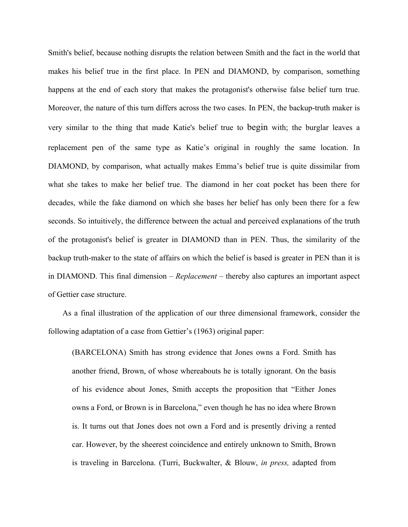Smith's belief, because nothing disrupts the relation between Smith and the fact in the world that makes his belief true in the first place. In PEN and DIAMOND, by comparison, something happens at the end of each story that makes the protagonist's otherwise false belief turn true. Moreover, the nature of this turn differs across the two cases. In PEN, the backup-truth maker is very similar to the thing that made Katie's belief true to begin with; the burglar leaves a replacement pen of the same type as Katie's original in roughly the same location. In DIAMOND, by comparison, what actually makes Emma's belief true is quite dissimilar from what she takes to make her belief true. The diamond in her coat pocket has been there for decades, while the fake diamond on which she bases her belief has only been there for a few seconds. So intuitively, the difference between the actual and perceived explanations of the truth of the protagonist's belief is greater in DIAMOND than in PEN. Thus, the similarity of the backup truth-maker to the state of affairs on which the belief is based is greater in PEN than it is in DIAMOND. This final dimension – *Replacement* – thereby also captures an important aspect of Gettier case structure.

As a final illustration of the application of our three dimensional framework, consider the following adaptation of a case from Gettier's (1963) original paper:

(BARCELONA) Smith has strong evidence that Jones owns a Ford. Smith has another friend, Brown, of whose whereabouts he is totally ignorant. On the basis of his evidence about Jones, Smith accepts the proposition that "Either Jones owns a Ford, or Brown is in Barcelona," even though he has no idea where Brown is. It turns out that Jones does not own a Ford and is presently driving a rented car. However, by the sheerest coincidence and entirely unknown to Smith, Brown is traveling in Barcelona. (Turri, Buckwalter, & Blouw, *in press,* adapted from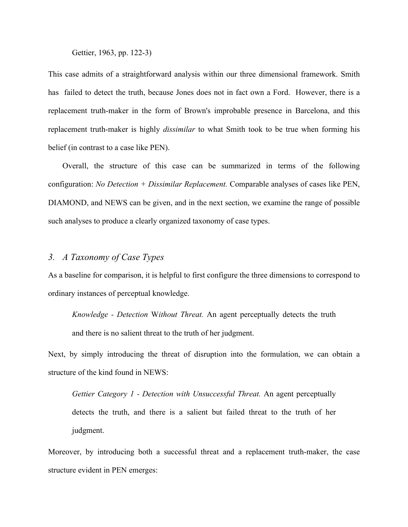Gettier, 1963, pp. 122-3)

This case admits of a straightforward analysis within our three dimensional framework. Smith has failed to detect the truth, because Jones does not in fact own a Ford. However, there is a replacement truth-maker in the form of Brown's improbable presence in Barcelona, and this replacement truth-maker is highly *dissimilar* to what Smith took to be true when forming his belief (in contrast to a case like PEN).

Overall, the structure of this case can be summarized in terms of the following configuration: *No Detection + Dissimilar Replacement.* Comparable analyses of cases like PEN, DIAMOND, and NEWS can be given, and in the next section, we examine the range of possible such analyses to produce a clearly organized taxonomy of case types.

# *3. A Taxonomy of Case Types*

As a baseline for comparison, it is helpful to first configure the three dimensions to correspond to ordinary instances of perceptual knowledge.

*Knowledge - Detection* W*ithout Threat.* An agent perceptually detects the truth and there is no salient threat to the truth of her judgment.

Next, by simply introducing the threat of disruption into the formulation, we can obtain a structure of the kind found in NEWS:

*Gettier Category 1 - Detection with Unsuccessful Threat.* An agent perceptually detects the truth, and there is a salient but failed threat to the truth of her judgment.

Moreover, by introducing both a successful threat and a replacement truth-maker, the case structure evident in PEN emerges: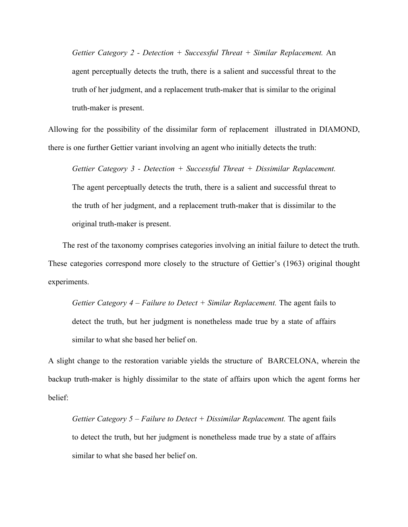*Gettier Category 2 - Detection + Successful Threat + Similar Replacement.* An agent perceptually detects the truth, there is a salient and successful threat to the truth of her judgment, and a replacement truth-maker that is similar to the original truth-maker is present.

Allowing for the possibility of the dissimilar form of replacement illustrated in DIAMOND, there is one further Gettier variant involving an agent who initially detects the truth:

*Gettier Category 3 - Detection + Successful Threat + Dissimilar Replacement.*  The agent perceptually detects the truth, there is a salient and successful threat to the truth of her judgment, and a replacement truth-maker that is dissimilar to the original truth-maker is present.

The rest of the taxonomy comprises categories involving an initial failure to detect the truth. These categories correspond more closely to the structure of Gettier's (1963) original thought experiments.

*Gettier Category 4 – Failure to Detect + Similar Replacement.* The agent fails to detect the truth, but her judgment is nonetheless made true by a state of affairs similar to what she based her belief on.

A slight change to the restoration variable yields the structure of BARCELONA, wherein the backup truth-maker is highly dissimilar to the state of affairs upon which the agent forms her belief:

*Gettier Category 5 – Failure to Detect + Dissimilar Replacement.* The agent fails to detect the truth, but her judgment is nonetheless made true by a state of affairs similar to what she based her belief on.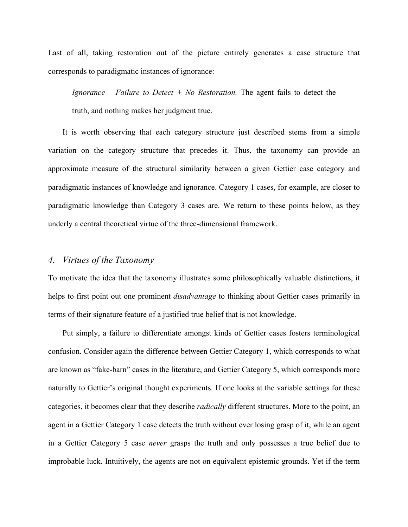Last of all, taking restoration out of the picture entirely generates a case structure that corresponds to paradigmatic instances of ignorance:

*Ignorance – Failure to Detect + No Restoration.* The agent fails to detect the truth, and nothing makes her judgment true.

It is worth observing that each category structure just described stems from a simple variation on the category structure that precedes it. Thus, the taxonomy can provide an approximate measure of the structural similarity between a given Gettier case category and paradigmatic instances of knowledge and ignorance. Category 1 cases, for example, are closer to paradigmatic knowledge than Category 3 cases are. We return to these points below, as they underly a central theoretical virtue of the three-dimensional framework.

### *4. Virtues of the Taxonomy*

To motivate the idea that the taxonomy illustrates some philosophically valuable distinctions, it helps to first point out one prominent *disadvantage* to thinking about Gettier cases primarily in terms of their signature feature of a justified true belief that is not knowledge.

Put simply, a failure to differentiate amongst kinds of Gettier cases fosters terminological confusion. Consider again the difference between Gettier Category 1, which corresponds to what are known as "fake-barn" cases in the literature, and Gettier Category 5, which corresponds more naturally to Gettier's original thought experiments. If one looks at the variable settings for these categories, it becomes clear that they describe *radically* different structures. More to the point, an agent in a Gettier Category 1 case detects the truth without ever losing grasp of it, while an agent in a Gettier Category 5 case *never* grasps the truth and only possesses a true belief due to improbable luck. Intuitively, the agents are not on equivalent epistemic grounds. Yet if the term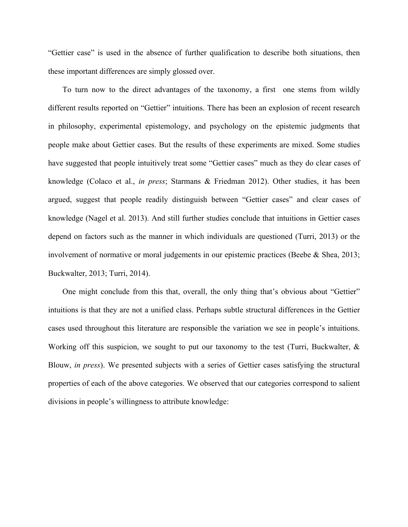"Gettier case" is used in the absence of further qualification to describe both situations, then these important differences are simply glossed over.

To turn now to the direct advantages of the taxonomy, a first one stems from wildly different results reported on "Gettier" intuitions. There has been an explosion of recent research in philosophy, experimental epistemology, and psychology on the epistemic judgments that people make about Gettier cases. But the results of these experiments are mixed. Some studies have suggested that people intuitively treat some "Gettier cases" much as they do clear cases of knowledge (Colaco et al., *in press*; Starmans & Friedman 2012). Other studies, it has been argued, suggest that people readily distinguish between "Gettier cases" and clear cases of knowledge (Nagel et al. 2013). And still further studies conclude that intuitions in Gettier cases depend on factors such as the manner in which individuals are questioned (Turri, 2013) or the involvement of normative or moral judgements in our epistemic practices (Beebe & Shea, 2013; Buckwalter, 2013; Turri, 2014).

One might conclude from this that, overall, the only thing that's obvious about "Gettier" intuitions is that they are not a unified class. Perhaps subtle structural differences in the Gettier cases used throughout this literature are responsible the variation we see in people's intuitions. Working off this suspicion, we sought to put our taxonomy to the test (Turri, Buckwalter,  $\&$ Blouw, *in press*). We presented subjects with a series of Gettier cases satisfying the structural properties of each of the above categories. We observed that our categories correspond to salient divisions in people's willingness to attribute knowledge: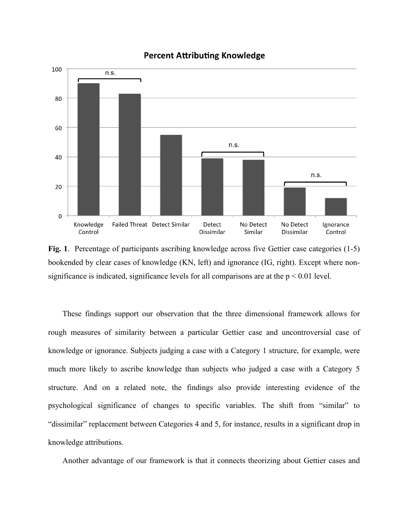

### **Percent Attributing Knowledge**

Fig. 1. Percentage of participants ascribing knowledge across five Gettier case categories (1-5) bookended by clear cases of knowledge (KN, left) and ignorance (IG, right). Except where nonsignificance is indicated, significance levels for all comparisons are at the  $p < 0.01$  level.

These findings support our observation that the three dimensional framework allows for rough measures of similarity between a particular Gettier case and uncontroversial case of knowledge or ignorance. Subjects judging a case with a Category 1 structure, for example, were much more likely to ascribe knowledge than subjects who judged a case with a Category 5 structure. And on a related note, the findings also provide interesting evidence of the psychological significance of changes to specific variables. The shift from "similar" to "dissimilar" replacement between Categories 4 and 5, for instance, results in a significant drop in knowledge attributions.

Another advantage of our framework is that it connects theorizing about Gettier cases and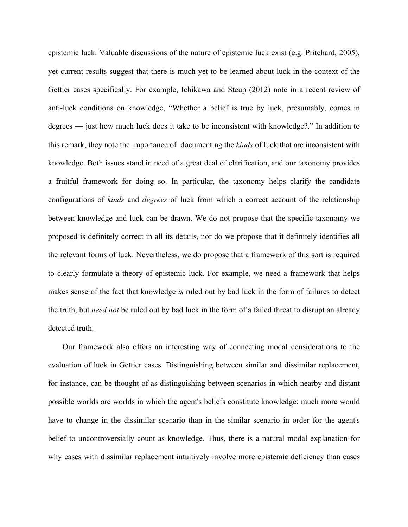epistemic luck. Valuable discussions of the nature of epistemic luck exist (e.g. Pritchard, 2005), yet current results suggest that there is much yet to be learned about luck in the context of the Gettier cases specifically. For example, Ichikawa and Steup (2012) note in a recent review of anti-luck conditions on knowledge, "Whether a belief is true by luck, presumably, comes in degrees — just how much luck does it take to be inconsistent with knowledge?." In addition to this remark, they note the importance of documenting the *kinds* of luck that are inconsistent with knowledge. Both issues stand in need of a great deal of clarification, and our taxonomy provides a fruitful framework for doing so. In particular, the taxonomy helps clarify the candidate configurations of *kinds* and *degrees* of luck from which a correct account of the relationship between knowledge and luck can be drawn. We do not propose that the specific taxonomy we proposed is definitely correct in all its details, nor do we propose that it definitely identifies all the relevant forms of luck. Nevertheless, we do propose that a framework of this sort is required to clearly formulate a theory of epistemic luck. For example, we need a framework that helps makes sense of the fact that knowledge *is* ruled out by bad luck in the form of failures to detect the truth, but *need not* be ruled out by bad luck in the form of a failed threat to disrupt an already detected truth.

Our framework also offers an interesting way of connecting modal considerations to the evaluation of luck in Gettier cases. Distinguishing between similar and dissimilar replacement, for instance, can be thought of as distinguishing between scenarios in which nearby and distant possible worlds are worlds in which the agent's beliefs constitute knowledge: much more would have to change in the dissimilar scenario than in the similar scenario in order for the agent's belief to uncontroversially count as knowledge. Thus, there is a natural modal explanation for why cases with dissimilar replacement intuitively involve more epistemic deficiency than cases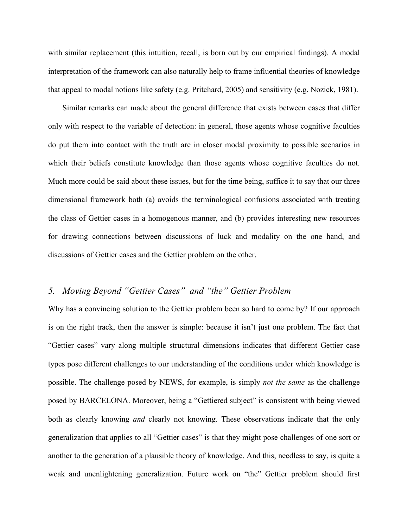with similar replacement (this intuition, recall, is born out by our empirical findings). A modal interpretation of the framework can also naturally help to frame influential theories of knowledge that appeal to modal notions like safety (e.g. Pritchard, 2005) and sensitivity (e.g. Nozick, 1981).

Similar remarks can made about the general difference that exists between cases that differ only with respect to the variable of detection: in general, those agents whose cognitive faculties do put them into contact with the truth are in closer modal proximity to possible scenarios in which their beliefs constitute knowledge than those agents whose cognitive faculties do not. Much more could be said about these issues, but for the time being, suffice it to say that our three dimensional framework both (a) avoids the terminological confusions associated with treating the class of Gettier cases in a homogenous manner, and (b) provides interesting new resources for drawing connections between discussions of luck and modality on the one hand, and discussions of Gettier cases and the Gettier problem on the other.

### *5. Moving Beyond "Gettier Cases" and "the" Gettier Problem*

Why has a convincing solution to the Gettier problem been so hard to come by? If our approach is on the right track, then the answer is simple: because it isn't just one problem. The fact that "Gettier cases" vary along multiple structural dimensions indicates that different Gettier case types pose different challenges to our understanding of the conditions under which knowledge is possible. The challenge posed by NEWS, for example, is simply *not the same* as the challenge posed by BARCELONA. Moreover, being a "Gettiered subject" is consistent with being viewed both as clearly knowing *and* clearly not knowing. These observations indicate that the only generalization that applies to all "Gettier cases" is that they might pose challenges of one sort or another to the generation of a plausible theory of knowledge. And this, needless to say, is quite a weak and unenlightening generalization. Future work on "the" Gettier problem should first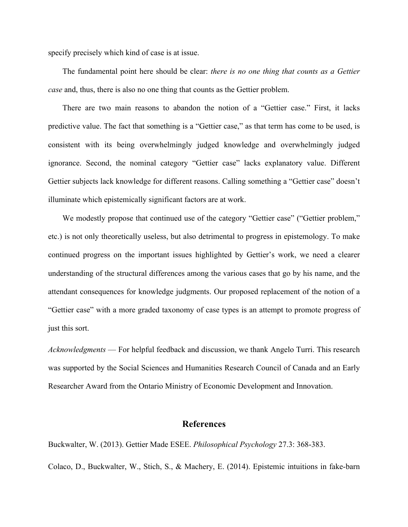specify precisely which kind of case is at issue.

The fundamental point here should be clear: *there is no one thing that counts as a Gettier case* and, thus, there is also no one thing that counts as the Gettier problem.

There are two main reasons to abandon the notion of a "Gettier case." First, it lacks predictive value. The fact that something is a "Gettier case," as that term has come to be used, is consistent with its being overwhelmingly judged knowledge and overwhelmingly judged ignorance. Second, the nominal category "Gettier case" lacks explanatory value. Different Gettier subjects lack knowledge for different reasons. Calling something a "Gettier case" doesn't illuminate which epistemically significant factors are at work.

We modestly propose that continued use of the category "Gettier case" ("Gettier problem," etc.) is not only theoretically useless, but also detrimental to progress in epistemology. To make continued progress on the important issues highlighted by Gettier's work, we need a clearer understanding of the structural differences among the various cases that go by his name, and the attendant consequences for knowledge judgments. Our proposed replacement of the notion of a "Gettier case" with a more graded taxonomy of case types is an attempt to promote progress of just this sort.

*Acknowledgments* — For helpful feedback and discussion, we thank Angelo Turri. This research was supported by the Social Sciences and Humanities Research Council of Canada and an Early Researcher Award from the Ontario Ministry of Economic Development and Innovation.

### **References**

Buckwalter, W. (2013). Gettier Made ESEE. *Philosophical Psychology* 27.3: 368-383.

Colaco, D., Buckwalter, W., Stich, S., & Machery, E. (2014). Epistemic intuitions in fake-barn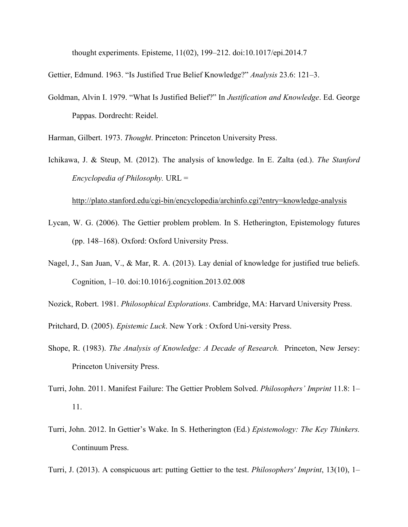thought experiments. Episteme, 11(02), 199–212. doi:10.1017/epi.2014.7

Gettier, Edmund. 1963. "Is Justified True Belief Knowledge?" *Analysis* 23.6: 121–3.

Goldman, Alvin I. 1979. "What Is Justified Belief?" In *Justification and Knowledge*. Ed. George Pappas. Dordrecht: Reidel.

Harman, Gilbert. 1973. *Thought*. Princeton: Princeton University Press.

Ichikawa, J. & Steup, M. (2012). The analysis of knowledge. In E. Zalta (ed.). *The Stanford Encyclopedia of Philosophy.* URL =

http://plato.stanford.edu/cgi-bin/encyclopedia/archinfo.cgi?entry=knowledge-analysis

- Lycan, W. G. (2006). The Gettier problem problem. In S. Hetherington, Epistemology futures (pp. 148–168). Oxford: Oxford University Press.
- Nagel, J., San Juan, V., & Mar, R. A. (2013). Lay denial of knowledge for justified true beliefs. Cognition, 1–10. doi:10.1016/j.cognition.2013.02.008
- Nozick, Robert. 1981. *Philosophical Explorations*. Cambridge, MA: Harvard University Press.
- Pritchard, D. (2005). *Epistemic Luck*. New York : Oxford Uni-versity Press.
- Shope, R. (1983). *The Analysis of Knowledge: A Decade of Research.* Princeton, New Jersey: Princeton University Press.
- Turri, John. 2011. Manifest Failure: The Gettier Problem Solved. *Philosophers' Imprint* 11.8: 1– 11.
- Turri, John. 2012. In Gettier's Wake. In S. Hetherington (Ed.) *Epistemology: The Key Thinkers.* Continuum Press.
- Turri, J. (2013). A conspicuous art: putting Gettier to the test. *Philosophers' Imprint*, 13(10), 1–